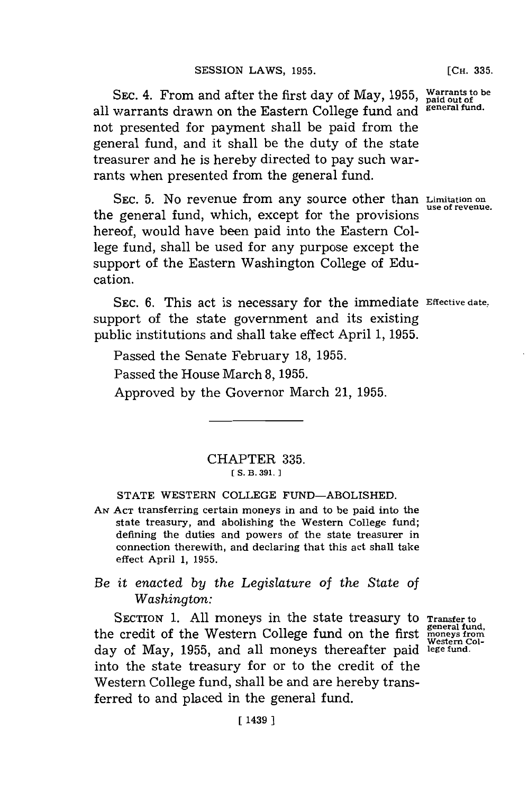SEC. 4. From and after the first day of May, **1955,** all warrants drawn on the Eastern College fund and not presented for payment shall be paid from the general fund, and it shall be the duty of the state treasurer and he is hereby directed to pay such warrants when presented from the general fund.

**SEC. 5.** No revenue from any source other than **Limitation on use of revenue.** the general fund, which, except for the provisions hereof, would have been paid into the Eastern College fund, shall be used for any purpose except the support of the Eastern Washington College of Education.

SEC. **6.** This act is necessary for the immediate **Effective date.** support of the state government and its existing public institutions and shall take effect April **1, 1955.**

Passed the Senate February **18, 1955.**

Passed the House March 8, 1955.

Approved **by** the Governor March 21, **1955.**

## CHAPTER **335. C5. B. 391.]1**

## **STATE** WESTERN **COLLEGE** FUND-ABOLISHED.

**AN ACT** transferring certain moneys in and to be paid into the state treasury, and abolishing the Western College fund; defining the duties and powers of the state treasurer in connection therewith, and declaring that this act shall take effect April **1, 1955.**

## *Be it enacted by the Legislature of the State of Washington:*

SECTION 1. All moneys in the state treasury to the credit of the Western College fund on the firs day of May, 1955, and all moneys thereafter paid lege fund into the state treasury for or to the credit of the Western College fund, shall be and are hereby transferred to and placed in the general fund.

**Transfer to general fund, moneys from Western Col-**

**Warrants to be paid out of general fund.**